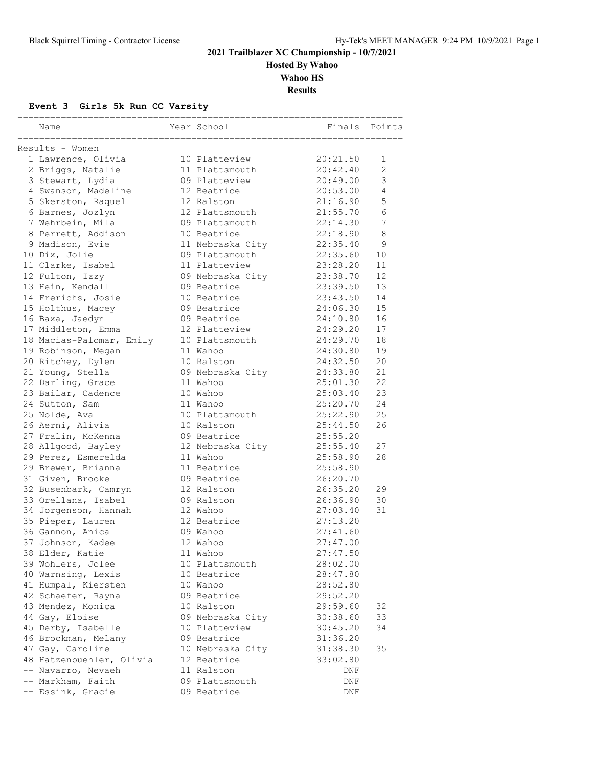**Hosted By Wahoo**

**Wahoo HS**

**Results**

### **Event 3 Girls 5k Run CC Varsity**

| Name                     | Year School      | ===========================<br>Finals | Points         |
|--------------------------|------------------|---------------------------------------|----------------|
| Results - Women          |                  |                                       |                |
| 1 Lawrence, Olivia       | 10 Platteview    | 20:21.50                              | $\mathbf{1}$   |
| 2 Briggs, Natalie        | 11 Plattsmouth   | 20:42.40                              | 2              |
| 3 Stewart, Lydia         | 09 Platteview    | 20:49.00                              | 3              |
| 4 Swanson, Madeline      | 12 Beatrice      | 20:53.00                              | $\overline{4}$ |
| 5 Skerston, Raquel       | 12 Ralston       | 21:16.90                              | 5              |
| 6 Barnes, Jozlyn         | 12 Plattsmouth   | 21:55.70                              | 6              |
| 7 Wehrbein, Mila         | 09 Plattsmouth   | 22:14.30                              | 7              |
| 8 Perrett, Addison       | 10 Beatrice      | 22:18.90                              | 8              |
| 9 Madison, Evie          | 11 Nebraska City | 22:35.40                              | 9              |
| 10 Dix, Jolie            | 09 Plattsmouth   | 22:35.60                              | 10             |
| 11 Clarke, Isabel        | 11 Platteview    | 23:28.20                              | 11             |
| 12 Fulton, Izzy          | 09 Nebraska City | 23:38.70                              | 12             |
| 13 Hein, Kendall         | 09 Beatrice      | 23:39.50                              | 13             |
| 14 Frerichs, Josie       | 10 Beatrice      | 23:43.50                              | 14             |
| 15 Holthus, Macey        | 09 Beatrice      | 24:06.30                              | 15             |
| 16 Baxa, Jaedyn          | 09 Beatrice      | 24:10.80                              | 16             |
| 17 Middleton, Emma       | 12 Platteview    | 24:29.20                              | 17             |
| 18 Macias-Palomar, Emily | 10 Plattsmouth   | 24:29.70                              | 18             |
| 19 Robinson, Megan       | 11 Wahoo         | 24:30.80                              | 19             |
| 20 Ritchey, Dylen        | 10 Ralston       | 24:32.50                              | 20             |
| 21 Young, Stella         | 09 Nebraska City | 24:33.80                              | 21             |
| 22 Darling, Grace        | 11 Wahoo         | 25:01.30                              | 22             |
| 23 Bailar, Cadence       | 10 Wahoo         | 25:03.40                              | 23             |
| 24 Sutton, Sam           | 11 Wahoo         | 25:20.70                              | 24             |
| 25 Nolde, Ava            | 10 Plattsmouth   | 25:22.90                              | 25             |
| 26 Aerni, Alivia         | 10 Ralston       | 25:44.50                              | 26             |
| 27 Fralin, McKenna       | 09 Beatrice      | 25:55.20                              |                |
| 28 Allgood, Bayley       | 12 Nebraska City | 25:55.40                              | 27             |
| 29 Perez, Esmerelda      | 11 Wahoo         | 25:58.90                              | 28             |
| 29 Brewer, Brianna       | 11 Beatrice      | 25:58.90                              |                |
| 31 Given, Brooke         | 09 Beatrice      | 26:20.70                              |                |
| 32 Busenbark, Camryn     | 12 Ralston       | 26:35.20                              | 29             |
| 33 Orellana, Isabel      | 09 Ralston       | 26:36.90                              | 30             |
| 34 Jorgenson, Hannah     | 12 Wahoo         | 27:03.40                              | 31             |
| 35 Pieper, Lauren        | 12 Beatrice      | 27:13.20                              |                |
| 36 Gannon, Anica         | 09 Wahoo         | 27:41.60                              |                |
| 37 Johnson, Kadee        | 12 Wahoo         | 27:47.00                              |                |
| 38 Elder, Katie          | 11 Wahoo         | 27:47.50                              |                |
| 39 Wohlers, Jolee        | 10 Plattsmouth   | 28:02.00                              |                |
| 40 Warnsing, Lexis       | 10 Beatrice      | 28:47.80                              |                |
| 41 Humpal, Kiersten      | 10 Wahoo         | 28:52.80                              |                |
| 42 Schaefer, Rayna       | 09 Beatrice      | 29:52.20                              |                |
| 43 Mendez, Monica        | 10 Ralston       | 29:59.60                              | 32             |
| 44 Gay, Eloise           | 09 Nebraska City | 30:38.60                              | 33             |
| 45 Derby, Isabelle       | 10 Platteview    | 30:45.20                              | 34             |
| 46 Brockman, Melany      | 09 Beatrice      | 31:36.20                              |                |
| 47 Gay, Caroline         | 10 Nebraska City | 31:38.30                              | 35             |
| 48 Hatzenbuehler, Olivia | 12 Beatrice      | 33:02.80                              |                |
| -- Navarro, Nevaeh       | 11 Ralston       | DNF                                   |                |
| -- Markham, Faith        | 09 Plattsmouth   | DNF                                   |                |
| -- Essink, Gracie        | 09 Beatrice      | DNF                                   |                |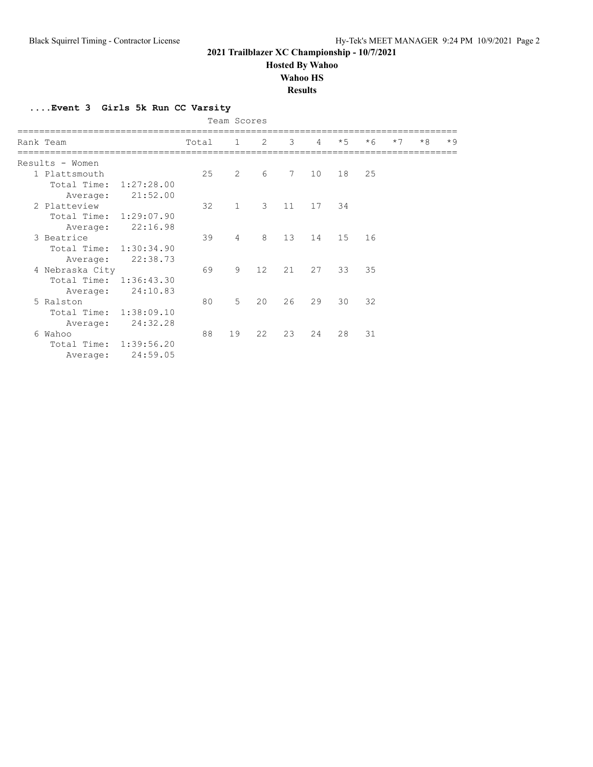**Hosted By Wahoo**

**Wahoo HS**

#### **Results**

**....Event 3 Girls 5k Run CC Varsity**

|  | Team Scores            |            |       |                |               |             |                |      |      |      |      |      |
|--|------------------------|------------|-------|----------------|---------------|-------------|----------------|------|------|------|------|------|
|  | Rank Team              |            | Total | $\mathbf{1}$   | 2             | 3           | $\overline{4}$ | $*5$ | $*6$ | $*7$ | $*8$ | $*9$ |
|  | Results - Women        |            |       |                |               |             |                |      |      |      |      |      |
|  | 1 Plattsmouth          |            | 25    | $\overline{2}$ | 6             | $7^{\circ}$ | 10             | 18   | 25   |      |      |      |
|  | Total Time:            | 1:27:28.00 |       |                |               |             |                |      |      |      |      |      |
|  | Average:               | 21:52.00   |       |                |               |             |                |      |      |      |      |      |
|  | 2 Platteview           |            | 32    | $\mathbf{1}$   | $\mathcal{E}$ | 11          | 17             | 34   |      |      |      |      |
|  | Total Time:            | 1:29:07.90 |       |                |               |             |                |      |      |      |      |      |
|  | Average:               | 22:16.98   |       |                |               |             |                |      |      |      |      |      |
|  | 3 Beatrice             |            | 39    | $\overline{4}$ | 8             | 13          | 14             | 15   | 16   |      |      |      |
|  | Total Time: 1:30:34.90 |            |       |                |               |             |                |      |      |      |      |      |
|  | Average:               | 22:38.73   |       |                |               |             |                |      |      |      |      |      |
|  | 4 Nebraska City        |            | 69    | 9              | 12            | 21          | 27             | 33   | 35   |      |      |      |
|  | Total Time: 1:36:43.30 |            |       |                |               |             |                |      |      |      |      |      |
|  | Average:               | 24:10.83   |       |                |               |             |                |      |      |      |      |      |
|  | 5 Ralston              |            | 80    | $5^{\circ}$    | 20            | 26          | 29             | 30   | 32   |      |      |      |
|  | Total Time: 1:38:09.10 |            |       |                |               |             |                |      |      |      |      |      |
|  | Average:               | 24:32.28   |       |                |               |             |                |      |      |      |      |      |
|  | 6 Wahoo                |            | 88    | 19             | 22            | 23          | 24             | 28   | 31   |      |      |      |
|  | Total Time: 1:39:56.20 |            |       |                |               |             |                |      |      |      |      |      |
|  | Average:               | 24:59.05   |       |                |               |             |                |      |      |      |      |      |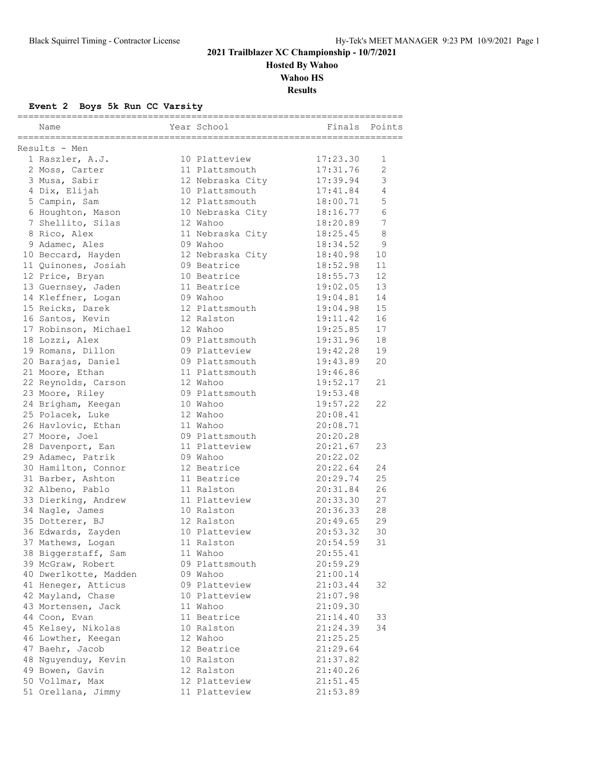**Hosted By Wahoo**

**Wahoo HS**

**Results**

### **Event 2 Boys 5k Run CC Varsity**

| =============================<br>==========<br>Name | Year School      | ==============================<br>Finals | Points          |
|-----------------------------------------------------|------------------|------------------------------------------|-----------------|
|                                                     |                  |                                          |                 |
| Results - Men                                       |                  |                                          |                 |
| 1 Raszler, A.J.                                     | 10 Platteview    | 17:23.30                                 | 1               |
| 2 Moss, Carter                                      | 11 Plattsmouth   | 17:31.76                                 | $\overline{2}$  |
| 3 Musa, Sabir                                       | 12 Nebraska City | 17:39.94                                 | 3               |
| 4 Dix, Elijah                                       | 10 Plattsmouth   | 17:41.84                                 | $\overline{4}$  |
| 5 Campin, Sam                                       | 12 Plattsmouth   | 18:00.71                                 | 5               |
| 6 Houghton, Mason                                   | 10 Nebraska City | 18:16.77                                 | 6               |
| 7 Shellito, Silas                                   | 12 Wahoo         | 18:20.89                                 | $7\overline{ }$ |
| 8 Rico, Alex                                        | 11 Nebraska City | 18:25.45                                 | 8               |
| 9 Adamec, Ales                                      | 09 Wahoo         | 18:34.52                                 | 9               |
| 10 Beccard, Hayden                                  | 12 Nebraska City | 18:40.98                                 | 10              |
| 11 Quinones, Josiah                                 | 09 Beatrice      | 18:52.98                                 | 11              |
| 12 Price, Bryan                                     | 10 Beatrice      | 18:55.73                                 | 12              |
| 13 Guernsey, Jaden                                  | 11 Beatrice      | 19:02.05                                 | 13              |
| 14 Kleffner, Logan                                  | 09 Wahoo         | 19:04.81                                 | 14              |
| 15 Reicks, Darek                                    | 12 Plattsmouth   | 19:04.98                                 | 15              |
| 16 Santos, Kevin                                    | 12 Ralston       | 19:11.42                                 | 16              |
| 17 Robinson, Michael                                | 12 Wahoo         | 19:25.85                                 | 17              |
| 18 Lozzi, Alex                                      | 09 Plattsmouth   | 19:31.96                                 | 18              |
| 19 Romans, Dillon                                   | 09 Platteview    | 19:42.28                                 | 19              |
| 20 Barajas, Daniel                                  | 09 Plattsmouth   | 19:43.89                                 | 20              |
| 21 Moore, Ethan                                     | 11 Plattsmouth   | 19:46.86                                 |                 |
| 22 Reynolds, Carson                                 | 12 Wahoo         | 19:52.17                                 | 21              |
| 23 Moore, Riley                                     | 09 Plattsmouth   | 19:53.48                                 |                 |
| 24 Brigham, Keegan                                  | 10 Wahoo         | 19:57.22                                 | 22              |
| 25 Polacek, Luke                                    | 12 Wahoo         | 20:08.41                                 |                 |
| 26 Havlovic, Ethan                                  | 11 Wahoo         | 20:08.71                                 |                 |
| 27 Moore, Joel                                      | 09 Plattsmouth   | 20:20.28                                 |                 |
| 28 Davenport, Ean                                   | 11 Platteview    | 20:21.67                                 | 23              |
| 29 Adamec, Patrik                                   | 09 Wahoo         | 20:22.02                                 |                 |
| 30 Hamilton, Connor                                 | 12 Beatrice      | 20:22.64                                 | 24              |
| 31 Barber, Ashton                                   | 11 Beatrice      | 20:29.74                                 | 25              |
| 32 Albeno, Pablo                                    | 11 Ralston       | 20:31.84                                 | 26              |
| 33 Dierking, Andrew                                 | 11 Platteview    | 20:33.30                                 | 27              |
| 34 Nagle, James                                     | 10 Ralston       | 20:36.33                                 | 28              |
| 35 Dotterer, BJ                                     | 12 Ralston       | 20:49.65                                 | 29              |
| 36 Edwards, Zayden                                  | 10 Platteview    | 20:53.32                                 | 30              |
| 37 Mathews, Logan                                   | 11 Ralston       | 20:54.59                                 | 31              |
| 38 Biggerstaff, Sam                                 | 11 Wahoo         | 20:55.41                                 |                 |
| 39 McGraw, Robert                                   | 09 Plattsmouth   | 20:59.29                                 |                 |
| 40 Dwerlkotte, Madden                               | 09 Wahoo         | 21:00.14                                 |                 |
| 41 Heneger, Atticus                                 | 09 Platteview    | 21:03.44                                 | 32              |
| 42 Mayland, Chase                                   | 10 Platteview    | 21:07.98                                 |                 |
| 43 Mortensen, Jack                                  | 11 Wahoo         | 21:09.30                                 |                 |
| 44 Coon, Evan                                       | 11 Beatrice      | 21:14.40                                 | 33              |
| 45 Kelsey, Nikolas                                  | 10 Ralston       | 21:24.39                                 | 34              |
| 46 Lowther, Keegan                                  | 12 Wahoo         | 21:25.25                                 |                 |
| 47 Baehr, Jacob                                     | 12 Beatrice      | 21:29.64                                 |                 |
| 48 Nguyenduy, Kevin                                 | 10 Ralston       | 21:37.82                                 |                 |
| 49 Bowen, Gavin                                     | 12 Ralston       | 21:40.26                                 |                 |
| 50 Vollmar, Max                                     | 12 Platteview    | 21:51.45                                 |                 |
| 51 Orellana, Jimmy                                  | 11 Platteview    | 21:53.89                                 |                 |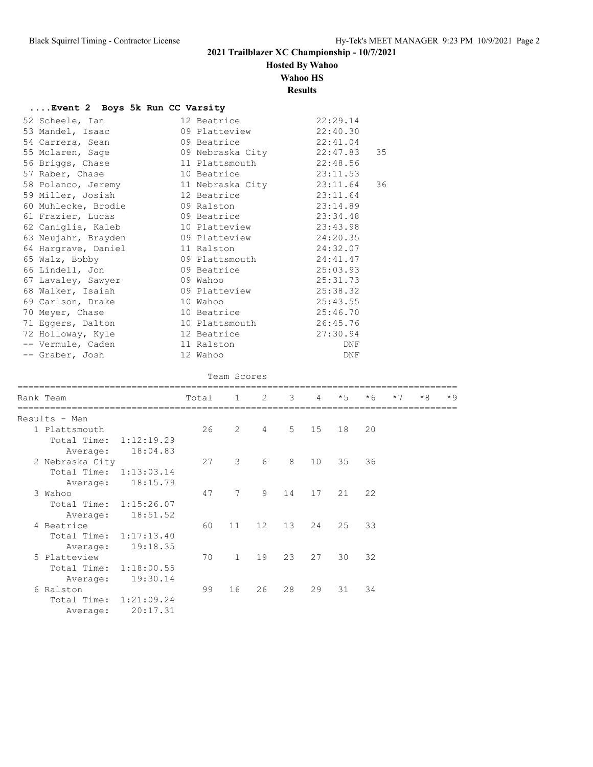# **Hosted By Wahoo**

**Wahoo HS**

**Results**

| Event 2 Boys 5k Run CC Varsity |  |  |  |  |
|--------------------------------|--|--|--|--|
|--------------------------------|--|--|--|--|

| 52 Scheele, Ian    |  | 22:29.14                                                                                                                                                                                                                                                                                                                                                                                                                                                                                                                                                                                                                                                                                                                                                                                                       |                                                                                                                         |
|--------------------|--|----------------------------------------------------------------------------------------------------------------------------------------------------------------------------------------------------------------------------------------------------------------------------------------------------------------------------------------------------------------------------------------------------------------------------------------------------------------------------------------------------------------------------------------------------------------------------------------------------------------------------------------------------------------------------------------------------------------------------------------------------------------------------------------------------------------|-------------------------------------------------------------------------------------------------------------------------|
| 53 Mandel, Isaac   |  | 22:40.30                                                                                                                                                                                                                                                                                                                                                                                                                                                                                                                                                                                                                                                                                                                                                                                                       |                                                                                                                         |
|                    |  | 22:41.04                                                                                                                                                                                                                                                                                                                                                                                                                                                                                                                                                                                                                                                                                                                                                                                                       |                                                                                                                         |
|                    |  |                                                                                                                                                                                                                                                                                                                                                                                                                                                                                                                                                                                                                                                                                                                                                                                                                |                                                                                                                         |
| 56 Briggs, Chase   |  | 22:48.56                                                                                                                                                                                                                                                                                                                                                                                                                                                                                                                                                                                                                                                                                                                                                                                                       |                                                                                                                         |
| 57 Raber, Chase    |  |                                                                                                                                                                                                                                                                                                                                                                                                                                                                                                                                                                                                                                                                                                                                                                                                                |                                                                                                                         |
|                    |  |                                                                                                                                                                                                                                                                                                                                                                                                                                                                                                                                                                                                                                                                                                                                                                                                                | 36                                                                                                                      |
| 59 Miller, Josiah  |  | 23:11.64                                                                                                                                                                                                                                                                                                                                                                                                                                                                                                                                                                                                                                                                                                                                                                                                       |                                                                                                                         |
|                    |  |                                                                                                                                                                                                                                                                                                                                                                                                                                                                                                                                                                                                                                                                                                                                                                                                                |                                                                                                                         |
|                    |  |                                                                                                                                                                                                                                                                                                                                                                                                                                                                                                                                                                                                                                                                                                                                                                                                                |                                                                                                                         |
| 62 Caniglia, Kaleb |  |                                                                                                                                                                                                                                                                                                                                                                                                                                                                                                                                                                                                                                                                                                                                                                                                                |                                                                                                                         |
|                    |  |                                                                                                                                                                                                                                                                                                                                                                                                                                                                                                                                                                                                                                                                                                                                                                                                                |                                                                                                                         |
|                    |  | 24:32.07                                                                                                                                                                                                                                                                                                                                                                                                                                                                                                                                                                                                                                                                                                                                                                                                       |                                                                                                                         |
|                    |  |                                                                                                                                                                                                                                                                                                                                                                                                                                                                                                                                                                                                                                                                                                                                                                                                                |                                                                                                                         |
|                    |  |                                                                                                                                                                                                                                                                                                                                                                                                                                                                                                                                                                                                                                                                                                                                                                                                                |                                                                                                                         |
| 67 Lavaley, Sawyer |  | 25:31.73                                                                                                                                                                                                                                                                                                                                                                                                                                                                                                                                                                                                                                                                                                                                                                                                       |                                                                                                                         |
|                    |  | 25:38.32                                                                                                                                                                                                                                                                                                                                                                                                                                                                                                                                                                                                                                                                                                                                                                                                       |                                                                                                                         |
|                    |  | 25:43.55                                                                                                                                                                                                                                                                                                                                                                                                                                                                                                                                                                                                                                                                                                                                                                                                       |                                                                                                                         |
| 70 Meyer, Chase    |  | 25:46.70                                                                                                                                                                                                                                                                                                                                                                                                                                                                                                                                                                                                                                                                                                                                                                                                       |                                                                                                                         |
| 71 Eggers, Dalton  |  |                                                                                                                                                                                                                                                                                                                                                                                                                                                                                                                                                                                                                                                                                                                                                                                                                |                                                                                                                         |
|                    |  | 27:30.94                                                                                                                                                                                                                                                                                                                                                                                                                                                                                                                                                                                                                                                                                                                                                                                                       |                                                                                                                         |
| -- Vermule, Caden  |  | DNF                                                                                                                                                                                                                                                                                                                                                                                                                                                                                                                                                                                                                                                                                                                                                                                                            |                                                                                                                         |
| -- Graber, Josh    |  | DNF                                                                                                                                                                                                                                                                                                                                                                                                                                                                                                                                                                                                                                                                                                                                                                                                            |                                                                                                                         |
|                    |  | 12 Beatrice<br>09 Platteview<br>54 Carrera, Sean 69 Beatrice<br>55 Mclaren, Sage 69 Nebraska City<br>11 Plattsmouth<br>10 Beatrice and the set of the set of the set of the set of the set of the set of the set of the set of the set of the set of the set of the set of the set of the set of the set of the set of the set of the set of the set<br>58 Polanco, Jeremy 11 Nebraska City<br>12 Beatrice<br>60 Muhlecke, Brodie 60 Ralston<br>61 Frazier, Lucas 69 Beatrice<br>10 Platteview<br>63 Neujahr, Brayden 69 Platteview<br>64 Hargrave, Daniel 11 Ralston<br>65 Walz, Bobby 69 Plattsmouth<br>66 Lindell, Jon 66 Deatrice<br>09 Wahoo<br>68 Walker, Isaiah 69 Platteview<br>69 Carlson, Drake 10 Wahoo<br>10 Beatrice<br>10 Plattsmouth<br>72 Holloway, Kyle 12 Beatrice<br>11 Ralston<br>12 Wahoo | 22:47.83 35<br>23:11.53<br>23:11.64<br>23:14.89<br>23:34.48<br>23:43.98<br>24:20.35<br>24:41.47<br>25:03.93<br>26:45.76 |

#### Team Scores

|             |                                                                                                   | Total                                                                                                                                               |                |                |          |    | $*5$                 | $*6$           | $*7$ | $*8$ | $*9$ |
|-------------|---------------------------------------------------------------------------------------------------|-----------------------------------------------------------------------------------------------------------------------------------------------------|----------------|----------------|----------|----|----------------------|----------------|------|------|------|
|             |                                                                                                   |                                                                                                                                                     |                |                |          |    |                      |                |      |      |      |
|             |                                                                                                   | 26                                                                                                                                                  | $\overline{2}$ | $\overline{4}$ |          | 15 | 18                   | 20             |      |      |      |
| Total Time: |                                                                                                   |                                                                                                                                                     |                |                |          |    |                      |                |      |      |      |
| Average:    | 18:04.83                                                                                          |                                                                                                                                                     |                |                |          |    |                      |                |      |      |      |
|             |                                                                                                   | 27                                                                                                                                                  | 3              | 6              | 8        | 10 | 35                   | 36             |      |      |      |
|             |                                                                                                   |                                                                                                                                                     |                |                |          |    |                      |                |      |      |      |
| Average:    | 18:15.79                                                                                          |                                                                                                                                                     |                |                |          |    |                      |                |      |      |      |
|             |                                                                                                   | 47                                                                                                                                                  | 7              | $\circ$        | 14       | 17 | 21                   | 22             |      |      |      |
|             |                                                                                                   |                                                                                                                                                     |                |                |          |    |                      |                |      |      |      |
| Average:    | 18:51.52                                                                                          |                                                                                                                                                     |                |                |          |    |                      |                |      |      |      |
|             |                                                                                                   | 60                                                                                                                                                  | 11             | 12             | 13       | 24 | 25                   | 33             |      |      |      |
|             |                                                                                                   |                                                                                                                                                     |                |                |          |    |                      |                |      |      |      |
| Average:    | 19:18.35                                                                                          |                                                                                                                                                     |                |                |          |    |                      |                |      |      |      |
|             |                                                                                                   | 70                                                                                                                                                  | $\mathbf{1}$   | 19             | 23       | 27 | 30                   | 32             |      |      |      |
| Total Time: |                                                                                                   |                                                                                                                                                     |                |                |          |    |                      |                |      |      |      |
| Average:    | 19:30.14                                                                                          |                                                                                                                                                     |                |                |          |    |                      |                |      |      |      |
|             |                                                                                                   | 99                                                                                                                                                  | 16             | 26             | 28       | 29 | 31                   | 34             |      |      |      |
|             |                                                                                                   |                                                                                                                                                     |                |                |          |    |                      |                |      |      |      |
| Average:    | 20:17.31                                                                                          |                                                                                                                                                     |                |                |          |    |                      |                |      |      |      |
|             | Rank Team<br>Results - Men<br>1 Plattsmouth<br>3 Wahoo<br>4 Beatrice<br>5 Platteview<br>6 Ralston | 1:12:19.29<br>2 Nebraska City<br>Total Time: 1:13:03.14<br>Total Time: 1:15:26.07<br>Total Time: 1:17:13.40<br>1:18:00.55<br>Total Time: 1:21:09.24 |                |                | $1 \t 2$ |    | $3^{\circ}$<br>$5 -$ | $\overline{4}$ |      |      |      |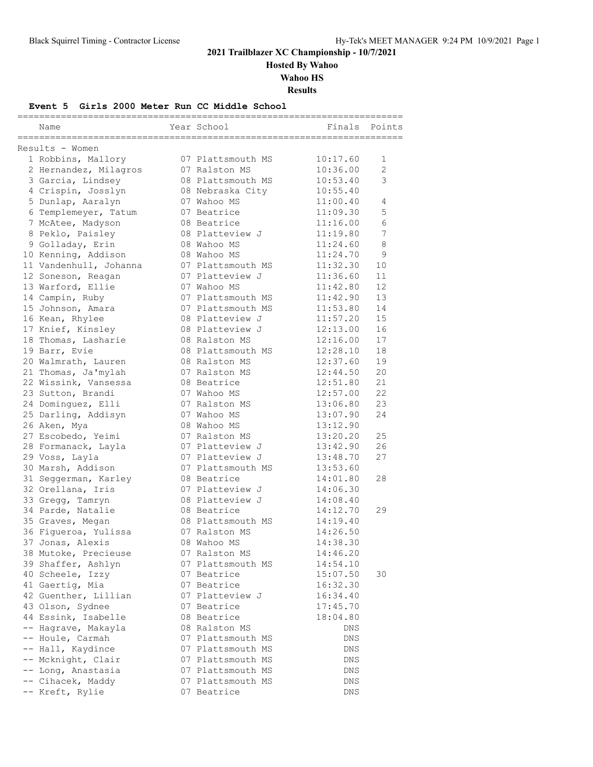**Hosted By Wahoo**

**Wahoo HS**

**Results**

#### **Event 5 Girls 2000 Meter Run CC Middle School**

| Name                   | Year School       | ========<br>Finals | Points         |
|------------------------|-------------------|--------------------|----------------|
| Results - Women        |                   |                    |                |
| 1 Robbins, Mallory     | 07 Plattsmouth MS | 10:17.60           | $\mathbf{1}$   |
| 2 Hernandez, Milagros  | 07 Ralston MS     | 10:36.00           | $\overline{2}$ |
| 3 Garcia, Lindsey      | 08 Plattsmouth MS | 10:53.40           | 3              |
| 4 Crispin, Josslyn     | 08 Nebraska City  | 10:55.40           |                |
| 5 Dunlap, Aaralyn      | 07 Wahoo MS       | 11:00.40           | 4              |
| 6 Templemeyer, Tatum   | 07 Beatrice       | 11:09.30           | 5              |
| 7 McAtee, Madyson      | 08 Beatrice       | 11:16.00           | $\epsilon$     |
| 8 Peklo, Paisley       | 08 Platteview J   | 11:19.80           | 7              |
| 9 Golladay, Erin       | 08 Wahoo MS       | 11:24.60           | 8              |
| 10 Kenning, Addison    | 08 Wahoo MS       | 11:24.70           | 9              |
| 11 Vandenhull, Johanna | 07 Plattsmouth MS | 11:32.30           | 10             |
| 12 Soneson, Reagan     | 07 Platteview J   | 11:36.60           | 11             |
| 13 Warford, Ellie      | 07 Wahoo MS       | 11:42.80           | 12             |
| 14 Campin, Ruby        | 07 Plattsmouth MS | 11:42.90           | 13             |
| 15 Johnson, Amara      | 07 Plattsmouth MS | 11:53.80           | 14             |
| 16 Kean, Rhylee        | 08 Platteview J   | 11:57.20           | 15             |
| 17 Knief, Kinsley      | 08 Platteview J   | 12:13.00           | 16             |
| 18 Thomas, Lasharie    | 08 Ralston MS     | 12:16.00           | 17             |
| 19 Barr, Evie          | 08 Plattsmouth MS | 12:28.10           | 18             |
| 20 Walmrath, Lauren    | 08 Ralston MS     | 12:37.60           | 19             |
| 21 Thomas, Ja'mylah    | 07 Ralston MS     | 12:44.50           | 20             |
| 22 Wissink, Vansessa   | 08 Beatrice       | 12:51.80           | 21             |
| 23 Sutton, Brandi      | 07 Wahoo MS       | 12:57.00           | 22             |
| 24 Dominguez, Elli     | 07 Ralston MS     | 13:06.80           | 23             |
| 25 Darling, Addisyn    | 07 Wahoo MS       | 13:07.90           | 24             |
| 26 Aken, Mya           | 08 Wahoo MS       | 13:12.90           |                |
| 27 Escobedo, Yeimi     | 07 Ralston MS     | 13:20.20           | 25             |
| 28 Formanack, Layla    | 07 Platteview J   | 13:42.90           | 26             |
| 29 Voss, Layla         | 07 Platteview J   | 13:48.70           | 27             |
| 30 Marsh, Addison      | 07 Plattsmouth MS | 13:53.60           |                |
| 31 Seggerman, Karley   | 08 Beatrice       | 14:01.80           | 28             |
| 32 Orellana, Iris      | 07 Platteview J   | 14:06.30           |                |
| 33 Gregg, Tamryn       | 08 Platteview J   | 14:08.40           |                |
| 34 Parde, Natalie      | 08 Beatrice       | 14:12.70           | 29             |
| 35 Graves, Megan       | 08 Plattsmouth MS | 14:19.40           |                |
| 36 Figueroa, Yulissa   | 07 Ralston MS     | 14:26.50           |                |
| 37 Jonas, Alexis       | 08 Wahoo MS       | 14:38.30           |                |
| 38 Mutoke, Precieuse   | 07 Ralston MS     | 14:46.20           |                |
| 39 Shaffer, Ashlyn     | 07 Plattsmouth MS | 14:54.10           |                |
| 40 Scheele, Izzy       | 07 Beatrice       | 15:07.50           | 30             |
| 41 Gaertig, Mia        | 07 Beatrice       | 16:32.30           |                |
| 42 Guenther, Lillian   | 07 Platteview J   | 16:34.40           |                |
| 43 Olson, Sydnee       | 07 Beatrice       | 17:45.70           |                |
| 44 Essink, Isabelle    | 08 Beatrice       | 18:04.80           |                |
| -- Hagrave, Makayla    | 08 Ralston MS     | DNS                |                |
| -- Houle, Carmah       | 07 Plattsmouth MS | DNS                |                |
| -- Hall, Kaydince      | 07 Plattsmouth MS | DNS                |                |
| -- Mcknight, Clair     | 07 Plattsmouth MS | DNS                |                |
| -- Long, Anastasia     | 07 Plattsmouth MS | DNS                |                |
| -- Cihacek, Maddy      | 07 Plattsmouth MS | DNS                |                |
| -- Kreft, Rylie        | 07 Beatrice       | DNS                |                |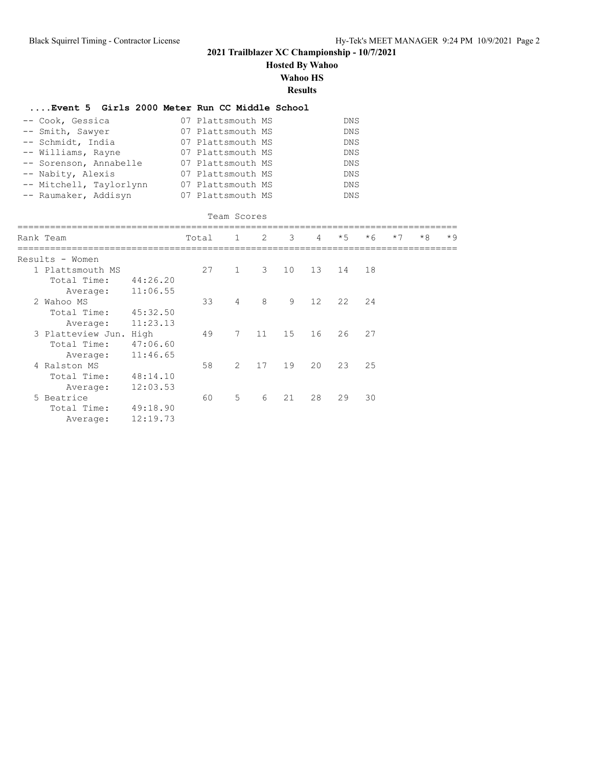**Hosted By Wahoo**

**Wahoo HS**

**Results**

| Event 5 Girls 2000 Meter Run CC Middle School |          |       |                   |               |    |    |            |      |      |      |      |
|-----------------------------------------------|----------|-------|-------------------|---------------|----|----|------------|------|------|------|------|
| -- Cook, Gessica                              |          |       | 07 Plattsmouth MS |               |    |    | <b>DNS</b> |      |      |      |      |
| Smith, Sawyer                                 |          |       | 07 Plattsmouth MS |               |    |    | <b>DNS</b> |      |      |      |      |
| -- Schmidt, India                             |          |       | 07 Plattsmouth MS |               |    |    | <b>DNS</b> |      |      |      |      |
| -- Williams, Rayne                            |          |       | 07 Plattsmouth MS |               |    |    | <b>DNS</b> |      |      |      |      |
| -- Sorenson, Annabelle                        |          |       | 07 Plattsmouth MS |               |    |    | DNS        |      |      |      |      |
| -- Nabity, Alexis                             |          |       | 07 Plattsmouth MS |               |    |    | <b>DNS</b> |      |      |      |      |
| -- Mitchell, Taylorlynn                       |          |       | 07 Plattsmouth MS |               |    |    | DNS        |      |      |      |      |
| -- Raumaker, Addisyn                          |          |       | 07 Plattsmouth MS |               |    |    | DNS        |      |      |      |      |
|                                               |          |       |                   |               |    |    |            |      |      |      |      |
|                                               |          |       | Team Scores       |               |    |    |            |      |      |      |      |
| Rank Team                                     |          | Total | 1                 | $\mathcal{P}$ | 3  | 4  | $\star$ 5  | $*6$ | $*7$ | $*8$ | $*9$ |
|                                               |          |       |                   |               |    |    |            |      |      |      |      |
| Results - Women                               |          |       |                   |               |    |    |            |      |      |      |      |
| 1 Plattsmouth MS                              |          | 27    | $\mathbf{1}$      | 3             | 10 | 13 | 14         | 18   |      |      |      |
| Total Time:                                   | 44:26.20 |       |                   |               |    |    |            |      |      |      |      |
| Average:                                      | 11:06.55 |       |                   |               |    |    |            |      |      |      |      |
| 2 Wahoo MS                                    |          | 33    | $\overline{4}$    | 8             | 9  | 12 | 22         | 2.4  |      |      |      |
| Total Time:                                   | 45:32.50 |       |                   |               |    |    |            |      |      |      |      |
| Average:                                      | 11:23.13 |       | 7                 | 11            | 15 | 16 | 26         | 27   |      |      |      |
| 3 Platteview Jun. High                        |          | 49    |                   |               |    |    |            |      |      |      |      |
| Total Time:                                   | 47:06.60 |       |                   |               |    |    |            |      |      |      |      |
| Average:                                      | 11:46.65 |       |                   |               |    |    |            |      |      |      |      |
| 4 Ralston MS                                  |          | 58    | $\overline{2}$    | 17            | 19 | 20 | 23         | 25   |      |      |      |
| Total Time:                                   | 48:14.10 |       |                   |               |    |    |            |      |      |      |      |
| Average:                                      | 12:03.53 |       |                   |               |    |    |            |      |      |      |      |
| 5 Beatrice                                    |          | 60    | 5                 | 6             | 21 | 28 | 29         | 30   |      |      |      |
| Total Time:                                   | 49:18.90 |       |                   |               |    |    |            |      |      |      |      |
| Average:                                      | 12:19.73 |       |                   |               |    |    |            |      |      |      |      |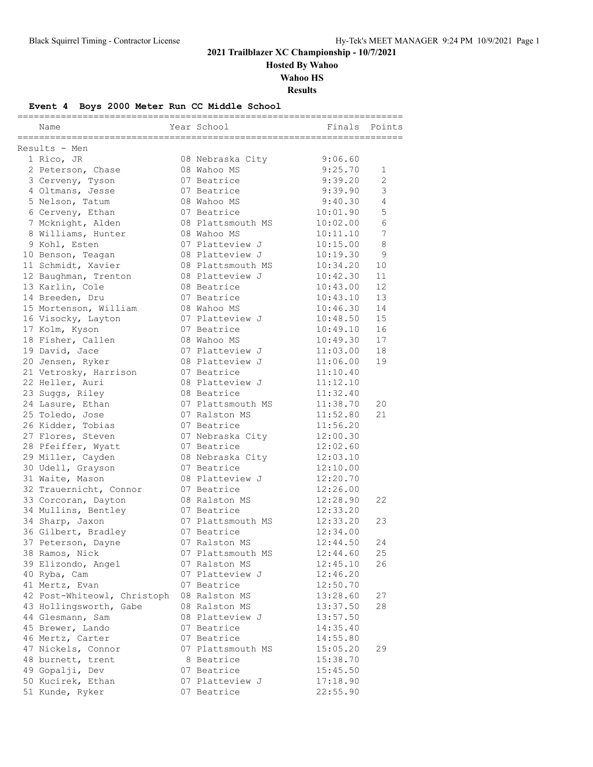**Hosted By Wahoo**

**Wahoo HS**

**Results**

### **Event 4 Boys 2000 Meter Run CC Middle School**

|                             |                   | ============== |    |
|-----------------------------|-------------------|----------------|----|
| Name                        | Year School       | Finals Points  |    |
| Results - Men               |                   |                |    |
| 1 Rico, JR                  | 08 Nebraska City  | 9:06.60        |    |
| 2 Peterson, Chase           | 08 Wahoo MS       | 9:25.70        | 1  |
| 3 Cerveny, Tyson            | 07 Beatrice       | 9:39.20        | 2  |
| 4 Oltmans, Jesse            | 07 Beatrice       | 9:39.90        | 3  |
| 5 Nelson, Tatum             | 08 Wahoo MS       | 9:40.30        | 4  |
| 6 Cerveny, Ethan            | 07 Beatrice       | 10:01.90       | 5  |
| 7 Mcknight, Alden           | 08 Plattsmouth MS | 10:02.00       | 6  |
| 8 Williams, Hunter          | 08 Wahoo MS       | 10:11.10       | 7  |
| 9 Kohl, Esten               | 07 Platteview J   | 10:15.00       | 8  |
| 10 Benson, Teagan           | 08 Platteview J   | 10:19.30       | 9  |
| 11 Schmidt, Xavier          | 08 Plattsmouth MS | 10:34.20       | 10 |
| 12 Baughman, Trenton        | 08 Platteview J   | 10:42.30       | 11 |
| 13 Karlin, Cole             | 08 Beatrice       | 10:43.00       | 12 |
| 14 Breeden, Dru             | 07 Beatrice       | 10:43.10       | 13 |
| 15 Mortenson, William       | 08 Wahoo MS       | 10:46.30       | 14 |
| 16 Visocky, Layton          | 07 Platteview J   | 10:48.50       | 15 |
| 17 Kolm, Kyson              | 07 Beatrice       | 10:49.10       | 16 |
| 18 Fisher, Callen           | 08 Wahoo MS       | 10:49.30       | 17 |
| 19 David, Jace              | 07 Platteview J   | 11:03.00       | 18 |
| 20 Jensen, Ryker            | 08 Platteview J   | 11:06.00       | 19 |
| 21 Vetrosky, Harrison       | 07 Beatrice       | 11:10.40       |    |
| 22 Heller, Auri             | 08 Platteview J   | 11:12.10       |    |
| 23 Suggs, Riley             | 08 Beatrice       | 11:32.40       |    |
| 24 Lasure, Ethan            | 07 Plattsmouth MS | 11:38.70       | 20 |
| 25 Toledo, Jose             | 07 Ralston MS     | 11:52.80       | 21 |
| 26 Kidder, Tobias           | 07 Beatrice       | 11:56.20       |    |
| 27 Flores, Steven           | 07 Nebraska City  | 12:00.30       |    |
| 28 Pfeiffer, Wyatt          | 07 Beatrice       | 12:02.60       |    |
| 29 Miller, Cayden           | 08 Nebraska City  | 12:03.10       |    |
| 30 Udell, Grayson           | 07 Beatrice       | 12:10.00       |    |
| 31 Waite, Mason             | 08 Platteview J   | 12:20.70       |    |
| 32 Trauernicht, Connor      | 07 Beatrice       | 12:26.00       |    |
| 33 Corcoran, Dayton         | 08 Ralston MS     | 12:28.90       | 22 |
| 34 Mullins, Bentley         | 07 Beatrice       | 12:33.20       |    |
| 34 Sharp, Jaxon             | 07 Plattsmouth MS | 12:33.20       | 23 |
| 36 Gilbert, Bradley         | 07 Beatrice       | 12:34.00       |    |
| 37 Peterson, Dayne          | 07 Ralston MS     | 12:44.50       | 24 |
| 38 Ramos, Nick              | 07 Plattsmouth MS | 12:44.60       | 25 |
| 39 Elizondo, Angel          | 07 Ralston MS     | 12:45.10       | 26 |
| 40 Ryba, Cam                | 07 Platteview J   | 12:46.20       |    |
| 41 Mertz, Evan              | 07 Beatrice       | 12:50.70       |    |
| 42 Post-Whiteowl, Christoph | 08 Ralston MS     | 13:28.60       | 27 |
| 43 Hollingsworth, Gabe      | 08 Ralston MS     | 13:37.50       | 28 |
| 44 Glesmann, Sam            | 08 Platteview J   | 13:57.50       |    |
| 45 Brewer, Lando            | 07 Beatrice       | 14:35.40       |    |
| 46 Mertz, Carter            | 07 Beatrice       | 14:55.80       |    |
| 47 Nickels, Connor          | 07 Plattsmouth MS | 15:05.20       | 29 |
| 48 burnett, trent           | 8 Beatrice        | 15:38.70       |    |
| 49 Gopalji, Dev             | 07 Beatrice       | 15:45.50       |    |
| 50 Kucirek, Ethan           | 07 Platteview J   | 17:18.90       |    |
| 51 Kunde, Ryker             | 07 Beatrice       | 22:55.90       |    |